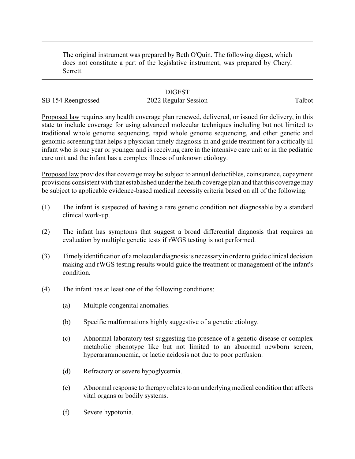The original instrument was prepared by Beth O'Quin. The following digest, which does not constitute a part of the legislative instrument, was prepared by Cheryl Serrett.

### **DIGEST**

# SB 154 Reengrossed 2022 Regular Session Talbot

Proposed law requires any health coverage plan renewed, delivered, or issued for delivery, in this state to include coverage for using advanced molecular techniques including but not limited to traditional whole genome sequencing, rapid whole genome sequencing, and other genetic and genomic screening that helps a physician timely diagnosis in and guide treatment for a critically ill infant who is one year or younger and is receiving care in the intensive care unit or in the pediatric care unit and the infant has a complex illness of unknown etiology.

Proposed law provides that coverage may be subject to annual deductibles, coinsurance, copayment provisions consistent with that established under the health coverage plan and that this coverage may be subject to applicable evidence-based medical necessity criteria based on all of the following:

- (1) The infant is suspected of having a rare genetic condition not diagnosable by a standard clinical work-up.
- (2) The infant has symptoms that suggest a broad differential diagnosis that requires an evaluation by multiple genetic tests if rWGS testing is not performed.
- (3) Timely identification of amolecular diagnosis is necessaryin order to guide clinical decision making and rWGS testing results would guide the treatment or management of the infant's condition.
- (4) The infant has at least one of the following conditions:
	- (a) Multiple congenital anomalies.
	- (b) Specific malformations highly suggestive of a genetic etiology.
	- (c) Abnormal laboratory test suggesting the presence of a genetic disease or complex metabolic phenotype like but not limited to an abnormal newborn screen, hyperarammonemia, or lactic acidosis not due to poor perfusion.
	- (d) Refractory or severe hypoglycemia.
	- (e) Abnormal response to therapy relates to an underlying medical condition that affects vital organs or bodily systems.
	- (f) Severe hypotonia.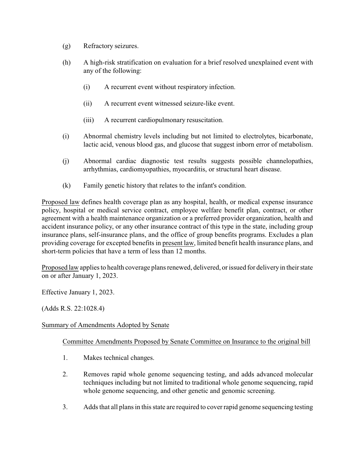- (g) Refractory seizures.
- (h) A high-risk stratification on evaluation for a brief resolved unexplained event with any of the following:
	- (i) A recurrent event without respiratory infection.
	- (ii) A recurrent event witnessed seizure-like event.
	- (iii) A recurrent cardiopulmonary resuscitation.
- (i) Abnormal chemistry levels including but not limited to electrolytes, bicarbonate, lactic acid, venous blood gas, and glucose that suggest inborn error of metabolism.
- (j) Abnormal cardiac diagnostic test results suggests possible channelopathies, arrhythmias, cardiomyopathies, myocarditis, or structural heart disease.
- (k) Family genetic history that relates to the infant's condition.

Proposed law defines health coverage plan as any hospital, health, or medical expense insurance policy, hospital or medical service contract, employee welfare benefit plan, contract, or other agreement with a health maintenance organization or a preferred provider organization, health and accident insurance policy, or any other insurance contract of this type in the state, including group insurance plans, self-insurance plans, and the office of group benefits programs. Excludes a plan providing coverage for excepted benefits in present law, limited benefit health insurance plans, and short-term policies that have a term of less than 12 months.

Proposed law applies to health coverage plans renewed, delivered, or issued for delivery in their state on or after January 1, 2023.

Effective January 1, 2023.

(Adds R.S. 22:1028.4)

### Summary of Amendments Adopted by Senate

### Committee Amendments Proposed by Senate Committee on Insurance to the original bill

- 1. Makes technical changes.
- 2. Removes rapid whole genome sequencing testing, and adds advanced molecular techniques including but not limited to traditional whole genome sequencing, rapid whole genome sequencing, and other genetic and genomic screening.
- 3. Adds that all plans in this state are required to cover rapid genome sequencing testing